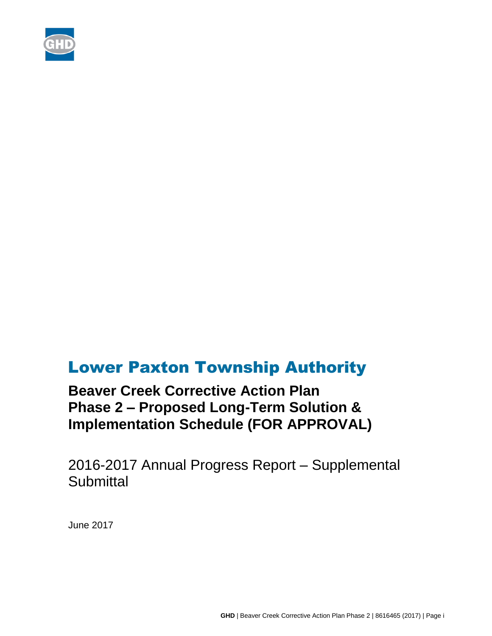

# Lower Paxton Township Authority

**Beaver Creek Corrective Action Plan Phase 2 – Proposed Long-Term Solution & Implementation Schedule (FOR APPROVAL)**

2016-2017 Annual Progress Report – Supplemental **Submittal** 

June 2017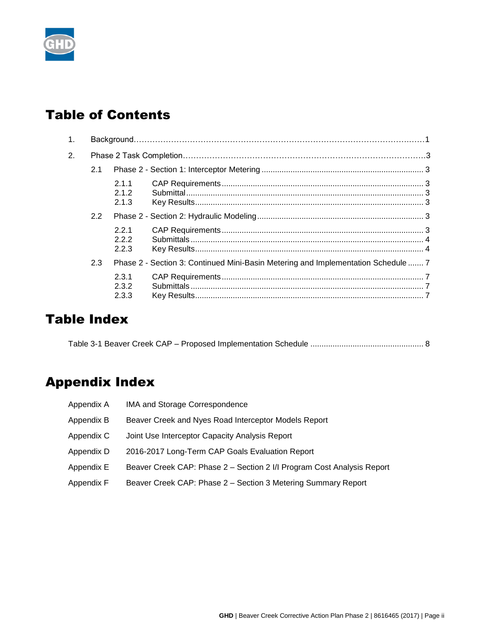

# Table of Contents

| 1. |               |                                                                                   |  |  |  |  |
|----|---------------|-----------------------------------------------------------------------------------|--|--|--|--|
| 2. |               |                                                                                   |  |  |  |  |
|    | 2.1           |                                                                                   |  |  |  |  |
|    |               | 2.1.1<br>$212$<br>2.1.3                                                           |  |  |  |  |
|    | $2.2^{\circ}$ |                                                                                   |  |  |  |  |
|    |               | 2.2.1<br>2.2.2<br>2.2.3                                                           |  |  |  |  |
|    | 2.3           | Phase 2 - Section 3: Continued Mini-Basin Metering and Implementation Schedule  7 |  |  |  |  |
|    |               | 2.3.1<br>2.3.2<br>2.3.3                                                           |  |  |  |  |

# Table Index

# Appendix Index

| Appendix A | IMA and Storage Correspondence                                         |
|------------|------------------------------------------------------------------------|
| Appendix B | Beaver Creek and Nyes Road Interceptor Models Report                   |
| Appendix C | Joint Use Interceptor Capacity Analysis Report                         |
| Appendix D | 2016-2017 Long-Term CAP Goals Evaluation Report                        |
| Appendix E | Beaver Creek CAP: Phase 2 – Section 2 I/I Program Cost Analysis Report |
| Appendix F | Beaver Creek CAP: Phase 2 – Section 3 Metering Summary Report          |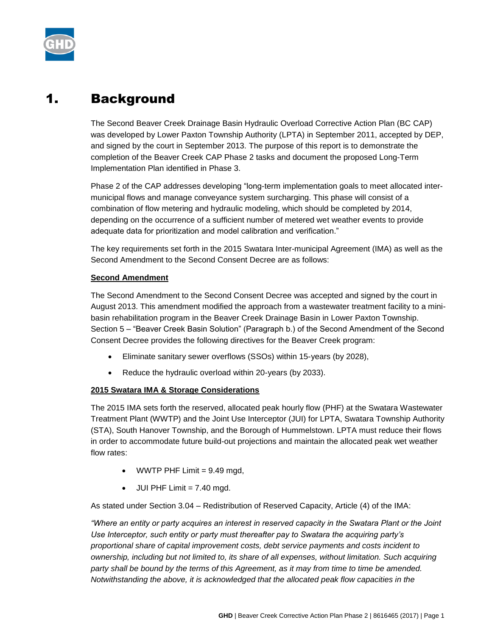

## 1. Background

The Second Beaver Creek Drainage Basin Hydraulic Overload Corrective Action Plan (BC CAP) was developed by Lower Paxton Township Authority (LPTA) in September 2011, accepted by DEP, and signed by the court in September 2013. The purpose of this report is to demonstrate the completion of the Beaver Creek CAP Phase 2 tasks and document the proposed Long-Term Implementation Plan identified in Phase 3.

Phase 2 of the CAP addresses developing "long-term implementation goals to meet allocated intermunicipal flows and manage conveyance system surcharging. This phase will consist of a combination of flow metering and hydraulic modeling, which should be completed by 2014, depending on the occurrence of a sufficient number of metered wet weather events to provide adequate data for prioritization and model calibration and verification."

The key requirements set forth in the 2015 Swatara Inter-municipal Agreement (IMA) as well as the Second Amendment to the Second Consent Decree are as follows:

#### **Second Amendment**

The Second Amendment to the Second Consent Decree was accepted and signed by the court in August 2013. This amendment modified the approach from a wastewater treatment facility to a minibasin rehabilitation program in the Beaver Creek Drainage Basin in Lower Paxton Township. Section 5 – "Beaver Creek Basin Solution" (Paragraph b.) of the Second Amendment of the Second Consent Decree provides the following directives for the Beaver Creek program:

- Eliminate sanitary sewer overflows (SSOs) within 15-years (by 2028),
- Reduce the hydraulic overload within 20-years (by 2033).

#### **2015 Swatara IMA & Storage Considerations**

The 2015 IMA sets forth the reserved, allocated peak hourly flow (PHF) at the Swatara Wastewater Treatment Plant (WWTP) and the Joint Use Interceptor (JUI) for LPTA, Swatara Township Authority (STA), South Hanover Township, and the Borough of Hummelstown. LPTA must reduce their flows in order to accommodate future build-out projections and maintain the allocated peak wet weather flow rates:

- WWTP PHF Limit = 9.49 mgd,
- $\bullet$  JUI PHF Limit = 7.40 mgd.

As stated under Section 3.04 – Redistribution of Reserved Capacity, Article (4) of the IMA:

*"Where an entity or party acquires an interest in reserved capacity in the Swatara Plant or the Joint Use Interceptor, such entity or party must thereafter pay to Swatara the acquiring party's proportional share of capital improvement costs, debt service payments and costs incident to ownership, including but not limited to, its share of all expenses, without limitation. Such acquiring party shall be bound by the terms of this Agreement, as it may from time to time be amended. Notwithstanding the above, it is acknowledged that the allocated peak flow capacities in the*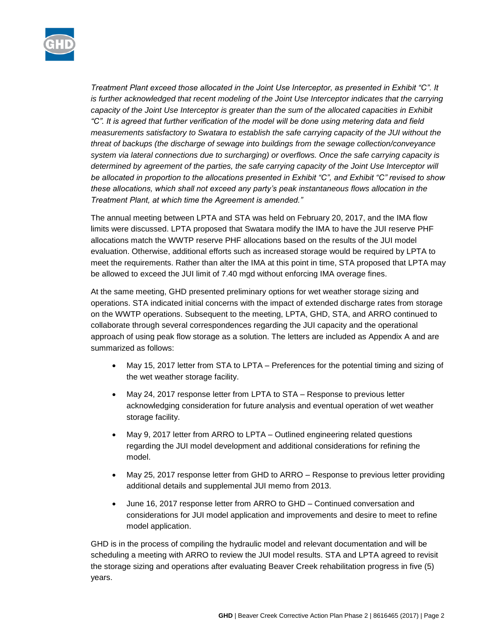

*Treatment Plant exceed those allocated in the Joint Use Interceptor, as presented in Exhibit "C". It is further acknowledged that recent modeling of the Joint Use Interceptor indicates that the carrying* capacity of the Joint Use Interceptor is greater than the sum of the allocated capacities in Exhibit *"C". It is agreed that further verification of the model will be done using metering data and field measurements satisfactory to Swatara to establish the safe carrying capacity of the JUI without the threat of backups (the discharge of sewage into buildings from the sewage collection/conveyance system via lateral connections due to surcharging) or overflows. Once the safe carrying capacity is determined by agreement of the parties, the safe carrying capacity of the Joint Use Interceptor will be allocated in proportion to the allocations presented in Exhibit "C", and Exhibit "C" revised to show these allocations, which shall not exceed any party's peak instantaneous flows allocation in the Treatment Plant, at which time the Agreement is amended."*

The annual meeting between LPTA and STA was held on February 20, 2017, and the IMA flow limits were discussed. LPTA proposed that Swatara modify the IMA to have the JUI reserve PHF allocations match the WWTP reserve PHF allocations based on the results of the JUI model evaluation. Otherwise, additional efforts such as increased storage would be required by LPTA to meet the requirements. Rather than alter the IMA at this point in time, STA proposed that LPTA may be allowed to exceed the JUI limit of 7.40 mgd without enforcing IMA overage fines.

At the same meeting, GHD presented preliminary options for wet weather storage sizing and operations. STA indicated initial concerns with the impact of extended discharge rates from storage on the WWTP operations. Subsequent to the meeting, LPTA, GHD, STA, and ARRO continued to collaborate through several correspondences regarding the JUI capacity and the operational approach of using peak flow storage as a solution. The letters are included as Appendix A and are summarized as follows:

- May 15, 2017 letter from STA to LPTA Preferences for the potential timing and sizing of the wet weather storage facility.
- May 24, 2017 response letter from LPTA to STA Response to previous letter acknowledging consideration for future analysis and eventual operation of wet weather storage facility.
- May 9, 2017 letter from ARRO to LPTA Outlined engineering related questions regarding the JUI model development and additional considerations for refining the model.
- May 25, 2017 response letter from GHD to ARRO Response to previous letter providing additional details and supplemental JUI memo from 2013.
- June 16, 2017 response letter from ARRO to GHD Continued conversation and considerations for JUI model application and improvements and desire to meet to refine model application.

GHD is in the process of compiling the hydraulic model and relevant documentation and will be scheduling a meeting with ARRO to review the JUI model results. STA and LPTA agreed to revisit the storage sizing and operations after evaluating Beaver Creek rehabilitation progress in five (5) years.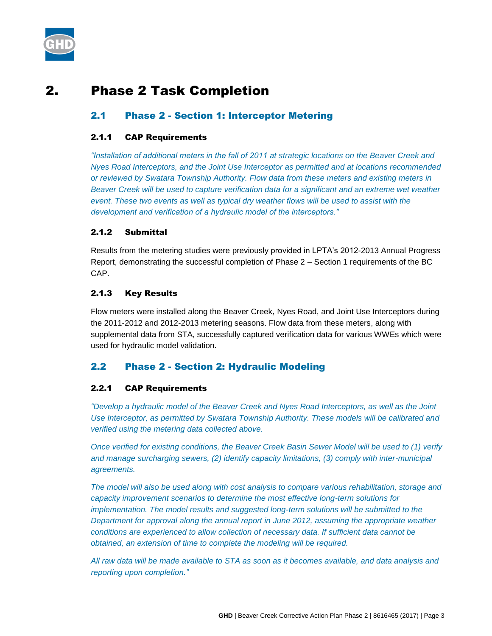

# 2. Phase 2 Task Completion

## 2.1 Phase 2 - Section 1: Interceptor Metering

## 2.1.1 CAP Requirements

*"Installation of additional meters in the fall of 2011 at strategic locations on the Beaver Creek and Nyes Road Interceptors, and the Joint Use Interceptor as permitted and at locations recommended or reviewed by Swatara Township Authority. Flow data from these meters and existing meters in Beaver Creek will be used to capture verification data for a significant and an extreme wet weather event. These two events as well as typical dry weather flows will be used to assist with the development and verification of a hydraulic model of the interceptors."*

## 2.1.2 Submittal

Results from the metering studies were previously provided in LPTA's 2012-2013 Annual Progress Report, demonstrating the successful completion of Phase 2 – Section 1 requirements of the BC CAP.

#### 2.1.3 Key Results

Flow meters were installed along the Beaver Creek, Nyes Road, and Joint Use Interceptors during the 2011-2012 and 2012-2013 metering seasons. Flow data from these meters, along with supplemental data from STA, successfully captured verification data for various WWEs which were used for hydraulic model validation.

## 2.2 Phase 2 - Section 2: Hydraulic Modeling

## 2.2.1 CAP Requirements

*"Develop a hydraulic model of the Beaver Creek and Nyes Road Interceptors, as well as the Joint Use Interceptor, as permitted by Swatara Township Authority. These models will be calibrated and verified using the metering data collected above.* 

*Once verified for existing conditions, the Beaver Creek Basin Sewer Model will be used to (1) verify and manage surcharging sewers, (2) identify capacity limitations, (3) comply with inter-municipal agreements.* 

*The model will also be used along with cost analysis to compare various rehabilitation, storage and capacity improvement scenarios to determine the most effective long-term solutions for implementation. The model results and suggested long-term solutions will be submitted to the Department for approval along the annual report in June 2012, assuming the appropriate weather conditions are experienced to allow collection of necessary data. If sufficient data cannot be obtained, an extension of time to complete the modeling will be required.*

*All raw data will be made available to STA as soon as it becomes available, and data analysis and reporting upon completion."*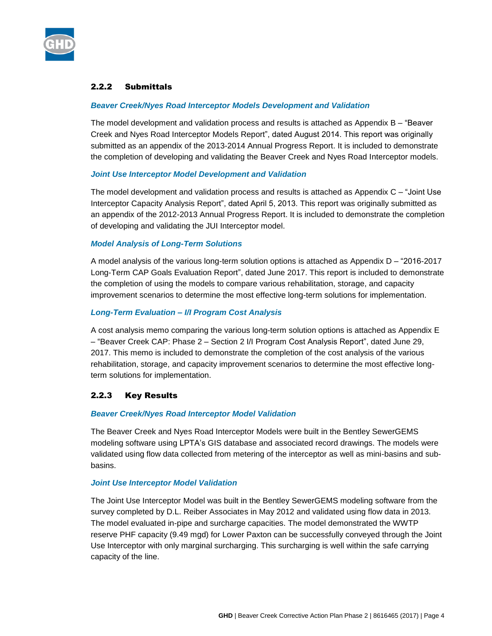

#### 2.2.2 Submittals

#### *Beaver Creek/Nyes Road Interceptor Models Development and Validation*

The model development and validation process and results is attached as Appendix B – "Beaver Creek and Nyes Road Interceptor Models Report", dated August 2014. This report was originally submitted as an appendix of the 2013-2014 Annual Progress Report. It is included to demonstrate the completion of developing and validating the Beaver Creek and Nyes Road Interceptor models.

#### *Joint Use Interceptor Model Development and Validation*

The model development and validation process and results is attached as Appendix C – "Joint Use Interceptor Capacity Analysis Report", dated April 5, 2013. This report was originally submitted as an appendix of the 2012-2013 Annual Progress Report. It is included to demonstrate the completion of developing and validating the JUI Interceptor model.

#### *Model Analysis of Long-Term Solutions*

A model analysis of the various long-term solution options is attached as Appendix D – "2016-2017 Long-Term CAP Goals Evaluation Report", dated June 2017. This report is included to demonstrate the completion of using the models to compare various rehabilitation, storage, and capacity improvement scenarios to determine the most effective long-term solutions for implementation.

#### *Long-Term Evaluation – I/I Program Cost Analysis*

A cost analysis memo comparing the various long-term solution options is attached as Appendix E – "Beaver Creek CAP: Phase 2 – Section 2 I/I Program Cost Analysis Report", dated June 29, 2017. This memo is included to demonstrate the completion of the cost analysis of the various rehabilitation, storage, and capacity improvement scenarios to determine the most effective longterm solutions for implementation.

#### 2.2.3 Key Results

#### *Beaver Creek/Nyes Road Interceptor Model Validation*

The Beaver Creek and Nyes Road Interceptor Models were built in the Bentley SewerGEMS modeling software using LPTA's GIS database and associated record drawings. The models were validated using flow data collected from metering of the interceptor as well as mini-basins and subbasins.

#### *Joint Use Interceptor Model Validation*

The Joint Use Interceptor Model was built in the Bentley SewerGEMS modeling software from the survey completed by D.L. Reiber Associates in May 2012 and validated using flow data in 2013. The model evaluated in-pipe and surcharge capacities. The model demonstrated the WWTP reserve PHF capacity (9.49 mgd) for Lower Paxton can be successfully conveyed through the Joint Use Interceptor with only marginal surcharging. This surcharging is well within the safe carrying capacity of the line.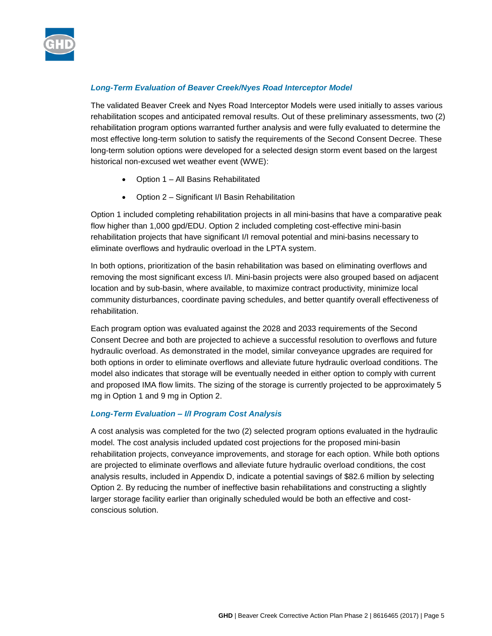

#### *Long-Term Evaluation of Beaver Creek/Nyes Road Interceptor Model*

The validated Beaver Creek and Nyes Road Interceptor Models were used initially to asses various rehabilitation scopes and anticipated removal results. Out of these preliminary assessments, two (2) rehabilitation program options warranted further analysis and were fully evaluated to determine the most effective long-term solution to satisfy the requirements of the Second Consent Decree. These long-term solution options were developed for a selected design storm event based on the largest historical non-excused wet weather event (WWE):

- Option 1 All Basins Rehabilitated
- Option 2 Significant I/I Basin Rehabilitation

Option 1 included completing rehabilitation projects in all mini-basins that have a comparative peak flow higher than 1,000 gpd/EDU. Option 2 included completing cost-effective mini-basin rehabilitation projects that have significant I/I removal potential and mini-basins necessary to eliminate overflows and hydraulic overload in the LPTA system.

In both options, prioritization of the basin rehabilitation was based on eliminating overflows and removing the most significant excess I/I. Mini-basin projects were also grouped based on adjacent location and by sub-basin, where available, to maximize contract productivity, minimize local community disturbances, coordinate paving schedules, and better quantify overall effectiveness of rehabilitation.

Each program option was evaluated against the 2028 and 2033 requirements of the Second Consent Decree and both are projected to achieve a successful resolution to overflows and future hydraulic overload. As demonstrated in the model, similar conveyance upgrades are required for both options in order to eliminate overflows and alleviate future hydraulic overload conditions. The model also indicates that storage will be eventually needed in either option to comply with current and proposed IMA flow limits. The sizing of the storage is currently projected to be approximately 5 mg in Option 1 and 9 mg in Option 2.

#### *Long-Term Evaluation – I/I Program Cost Analysis*

A cost analysis was completed for the two (2) selected program options evaluated in the hydraulic model. The cost analysis included updated cost projections for the proposed mini-basin rehabilitation projects, conveyance improvements, and storage for each option. While both options are projected to eliminate overflows and alleviate future hydraulic overload conditions, the cost analysis results, included in Appendix D, indicate a potential savings of \$82.6 million by selecting Option 2. By reducing the number of ineffective basin rehabilitations and constructing a slightly larger storage facility earlier than originally scheduled would be both an effective and costconscious solution.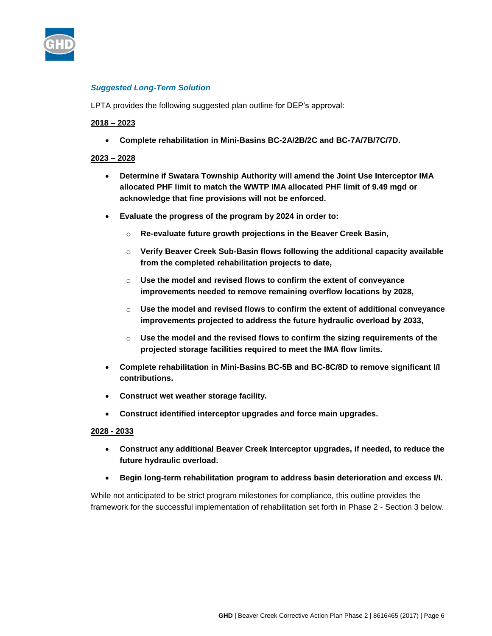

#### *Suggested Long-Term Solution*

LPTA provides the following suggested plan outline for DEP's approval:

#### **2018 – 2023**

**Complete rehabilitation in Mini-Basins BC-2A/2B/2C and BC-7A/7B/7C/7D.**

#### **2023 – 2028**

- **Determine if Swatara Township Authority will amend the Joint Use Interceptor IMA allocated PHF limit to match the WWTP IMA allocated PHF limit of 9.49 mgd or acknowledge that fine provisions will not be enforced.**
- **Evaluate the progress of the program by 2024 in order to:**
	- o **Re-evaluate future growth projections in the Beaver Creek Basin,**
	- o **Verify Beaver Creek Sub-Basin flows following the additional capacity available from the completed rehabilitation projects to date,**
	- o **Use the model and revised flows to confirm the extent of conveyance improvements needed to remove remaining overflow locations by 2028,**
	- o **Use the model and revised flows to confirm the extent of additional conveyance improvements projected to address the future hydraulic overload by 2033,**
	- o **Use the model and the revised flows to confirm the sizing requirements of the projected storage facilities required to meet the IMA flow limits.**
- **Complete rehabilitation in Mini-Basins BC-5B and BC-8C/8D to remove significant I/I contributions.**
- **Construct wet weather storage facility.**
- **Construct identified interceptor upgrades and force main upgrades.**

#### **2028 - 2033**

- **Construct any additional Beaver Creek Interceptor upgrades, if needed, to reduce the future hydraulic overload.**
- **Begin long-term rehabilitation program to address basin deterioration and excess I/I.**

While not anticipated to be strict program milestones for compliance, this outline provides the framework for the successful implementation of rehabilitation set forth in Phase 2 - Section 3 below.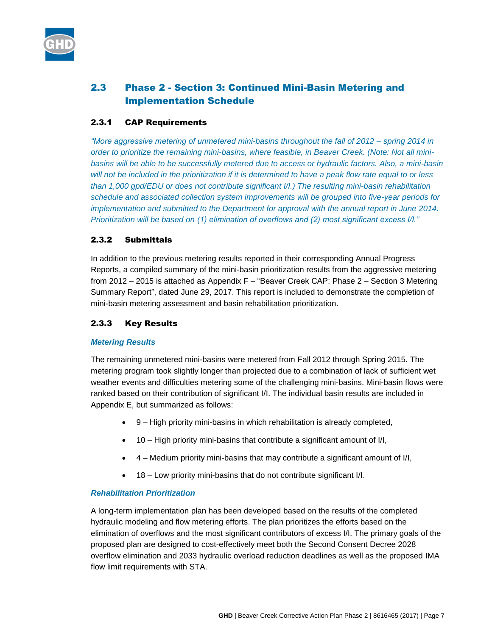

## 2.3 Phase 2 - Section 3: Continued Mini-Basin Metering and Implementation Schedule

#### 2.3.1 CAP Requirements

*"More aggressive metering of unmetered mini-basins throughout the fall of 2012 – spring 2014 in order to prioritize the remaining mini-basins, where feasible, in Beaver Creek. (Note: Not all minibasins will be able to be successfully metered due to access or hydraulic factors. Also, a mini-basin will not be included in the prioritization if it is determined to have a peak flow rate equal to or less than 1,000 gpd/EDU or does not contribute significant I/I.) The resulting mini-basin rehabilitation schedule and associated collection system improvements will be grouped into five-year periods for implementation and submitted to the Department for approval with the annual report in June 2014. Prioritization will be based on (1) elimination of overflows and (2) most significant excess I/I."*

#### 2.3.2 Submittals

In addition to the previous metering results reported in their corresponding Annual Progress Reports, a compiled summary of the mini-basin prioritization results from the aggressive metering from 2012 – 2015 is attached as Appendix F – "Beaver Creek CAP: Phase 2 – Section 3 Metering Summary Report", dated June 29, 2017. This report is included to demonstrate the completion of mini-basin metering assessment and basin rehabilitation prioritization.

## 2.3.3 Key Results

#### *Metering Results*

The remaining unmetered mini-basins were metered from Fall 2012 through Spring 2015. The metering program took slightly longer than projected due to a combination of lack of sufficient wet weather events and difficulties metering some of the challenging mini-basins. Mini-basin flows were ranked based on their contribution of significant I/I. The individual basin results are included in Appendix E, but summarized as follows:

- 9 High priority mini-basins in which rehabilitation is already completed,
- 10 High priority mini-basins that contribute a significant amount of I/I,
- $\bullet$  4 Medium priority mini-basins that may contribute a significant amount of  $I/I$ ,
- 18 Low priority mini-basins that do not contribute significant I/I.

#### *Rehabilitation Prioritization*

A long-term implementation plan has been developed based on the results of the completed hydraulic modeling and flow metering efforts. The plan prioritizes the efforts based on the elimination of overflows and the most significant contributors of excess I/I. The primary goals of the proposed plan are designed to cost-effectively meet both the Second Consent Decree 2028 overflow elimination and 2033 hydraulic overload reduction deadlines as well as the proposed IMA flow limit requirements with STA.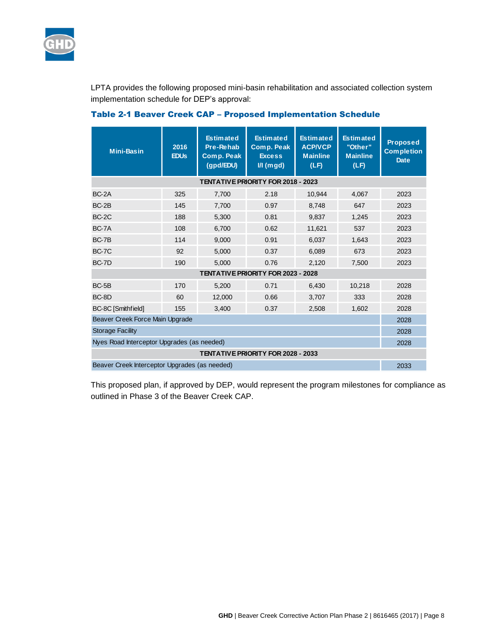

LPTA provides the following proposed mini-basin rehabilitation and associated collection system implementation schedule for DEP's approval:

| <b>Mini-Basin</b>                             | 2016<br><b>EDU<sub>s</sub></b> | <b>Estimated</b><br><b>Pre-Rehab</b><br><b>Comp. Peak</b><br>(gpd/EDU) | <b>Estimated</b><br>Comp. Peak<br><b>Excess</b><br>$I/I$ (mgd) | <b>Estimated</b><br><b>ACP/VCP</b><br><b>Mainline</b><br>(LF) | <b>Estimated</b><br>"Other"<br><b>Mainline</b><br>(LF) | <b>Proposed</b><br><b>Completion</b><br><b>Date</b> |  |  |  |  |  |
|-----------------------------------------------|--------------------------------|------------------------------------------------------------------------|----------------------------------------------------------------|---------------------------------------------------------------|--------------------------------------------------------|-----------------------------------------------------|--|--|--|--|--|
| <b>TENTATIVE PRIORITY FOR 2018 - 2023</b>     |                                |                                                                        |                                                                |                                                               |                                                        |                                                     |  |  |  |  |  |
| $BC-2A$                                       | 325                            | 7.700                                                                  | 2.18                                                           | 10.944                                                        | 4.067                                                  | 2023                                                |  |  |  |  |  |
| $BC-2B$                                       | 145                            | 7,700                                                                  | 0.97                                                           | 8,748                                                         | 647                                                    | 2023                                                |  |  |  |  |  |
| BC-2C                                         | 188                            | 5,300                                                                  | 0.81                                                           | 9,837                                                         | 1,245                                                  | 2023                                                |  |  |  |  |  |
| BC-7A                                         | 108                            | 6,700                                                                  | 0.62                                                           | 11,621                                                        | 537                                                    | 2023                                                |  |  |  |  |  |
| BC-7B                                         | 114                            | 9,000                                                                  | 0.91                                                           | 6,037                                                         | 1.643                                                  | 2023                                                |  |  |  |  |  |
| <b>BC-7C</b>                                  | 92                             | 5,000                                                                  | 0.37                                                           | 6,089                                                         | 673                                                    | 2023                                                |  |  |  |  |  |
| BC-7D                                         | 190                            | 5,000                                                                  | 0.76                                                           | 2,120                                                         | 7.500                                                  | 2023                                                |  |  |  |  |  |
| TENTATIVE PRIORITY FOR 2023 - 2028            |                                |                                                                        |                                                                |                                                               |                                                        |                                                     |  |  |  |  |  |
| $BC-5B$                                       | 170                            | 5,200                                                                  | 0.71                                                           | 6,430                                                         | 10,218                                                 | 2028                                                |  |  |  |  |  |
| BC-8D                                         | 60                             | 12,000                                                                 | 0.66                                                           | 3,707                                                         | 333                                                    | 2028                                                |  |  |  |  |  |
| BC-8C [Smithfield]                            | 155                            | 3,400                                                                  | 0.37                                                           | 2,508                                                         | 1,602                                                  | 2028                                                |  |  |  |  |  |
| Beaver Creek Force Main Upgrade               |                                |                                                                        |                                                                |                                                               |                                                        |                                                     |  |  |  |  |  |
| <b>Storage Facility</b>                       |                                |                                                                        |                                                                |                                                               |                                                        |                                                     |  |  |  |  |  |
| Nyes Road Interceptor Upgrades (as needed)    |                                |                                                                        |                                                                |                                                               |                                                        |                                                     |  |  |  |  |  |
| TENTATIVE PRIORITY FOR 2028 - 2033            |                                |                                                                        |                                                                |                                                               |                                                        |                                                     |  |  |  |  |  |
| Beaver Creek Interceptor Upgrades (as needed) |                                |                                                                        |                                                                |                                                               |                                                        |                                                     |  |  |  |  |  |

## <span id="page-9-0"></span>Table 2-1 Beaver Creek CAP – Proposed Implementation Schedule

This proposed plan, if approved by DEP, would represent the program milestones for compliance as outlined in Phase 3 of the Beaver Creek CAP.